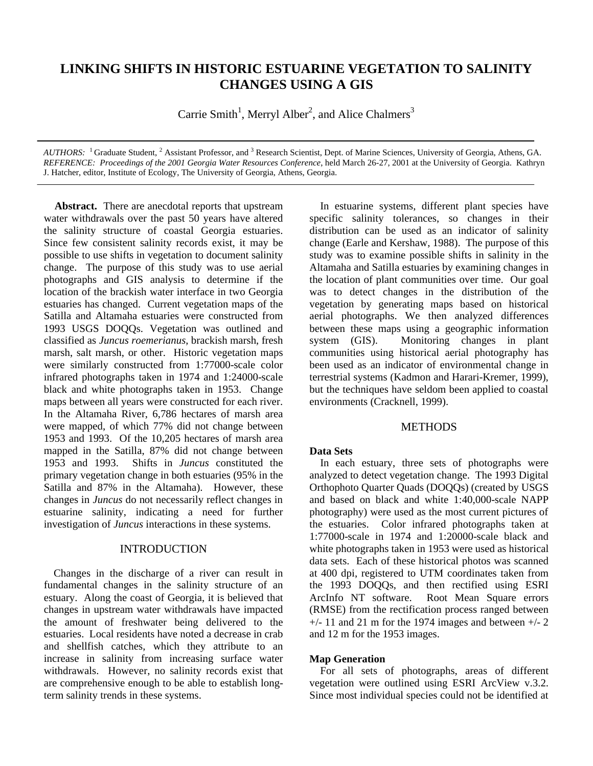# **LINKING SHIFTS IN HISTORIC ESTUARINE VEGETATION TO SALINITY CHANGES USING A GIS**

Carrie Smith<sup>1</sup>, Merryl Alber<sup>2</sup>, and Alice Chalmers<sup>3</sup>

*AUTHORS*: <sup>1</sup> Graduate Student, <sup>2</sup> Assistant Professor, and <sup>3</sup> Research Scientist, Dept. of Marine Sciences, University of Georgia, Athens, GA. *REFERENCE: Proceedings of the 2001 Georgia Water Resources Conference*, held March 26-27, 2001 at the University of Georgia. Kathryn J. Hatcher, editor, Institute of Ecology, The University of Georgia, Athens, Georgia.

 **Abstract.** There are anecdotal reports that upstream water withdrawals over the past 50 years have altered the salinity structure of coastal Georgia estuaries. Since few consistent salinity records exist, it may be possible to use shifts in vegetation to document salinity change. The purpose of this study was to use aerial photographs and GIS analysis to determine if the location of the brackish water interface in two Georgia estuaries has changed. Current vegetation maps of the Satilla and Altamaha estuaries were constructed from 1993 USGS DOQQs. Vegetation was outlined and classified as *Juncus roemerianus*, brackish marsh, fresh marsh, salt marsh, or other. Historic vegetation maps were similarly constructed from 1:77000-scale color infrared photographs taken in 1974 and 1:24000-scale black and white photographs taken in 1953. Change maps between all years were constructed for each river. In the Altamaha River, 6,786 hectares of marsh area were mapped, of which 77% did not change between 1953 and 1993. Of the 10,205 hectares of marsh area mapped in the Satilla, 87% did not change between 1953 and 1993. Shifts in *Juncus* constituted the primary vegetation change in both estuaries (95% in the Satilla and 87% in the Altamaha). However, these changes in *Juncus* do not necessarily reflect changes in estuarine salinity, indicating a need for further investigation of *Juncus* interactions in these systems.

## INTRODUCTION

 Changes in the discharge of a river can result in fundamental changes in the salinity structure of an estuary. Along the coast of Georgia, it is believed that changes in upstream water withdrawals have impacted the amount of freshwater being delivered to the estuaries. Local residents have noted a decrease in crab and shellfish catches, which they attribute to an increase in salinity from increasing surface water withdrawals. However, no salinity records exist that are comprehensive enough to be able to establish longterm salinity trends in these systems.

 In estuarine systems, different plant species have specific salinity tolerances, so changes in their distribution can be used as an indicator of salinity change (Earle and Kershaw, 1988). The purpose of this study was to examine possible shifts in salinity in the Altamaha and Satilla estuaries by examining changes in the location of plant communities over time. Our goal was to detect changes in the distribution of the vegetation by generating maps based on historical aerial photographs. We then analyzed differences between these maps using a geographic information system (GIS). Monitoring changes in plant communities using historical aerial photography has been used as an indicator of environmental change in terrestrial systems (Kadmon and Harari-Kremer, 1999), but the techniques have seldom been applied to coastal environments (Cracknell, 1999).

## **METHODS**

#### **Data Sets**

 In each estuary, three sets of photographs were analyzed to detect vegetation change. The 1993 Digital Orthophoto Quarter Quads (DOQQs) (created by USGS and based on black and white 1:40,000-scale NAPP photography) were used as the most current pictures of the estuaries. Color infrared photographs taken at 1:77000-scale in 1974 and 1:20000-scale black and white photographs taken in 1953 were used as historical data sets. Each of these historical photos was scanned at 400 dpi, registered to UTM coordinates taken from the 1993 DOQQs, and then rectified using ESRI ArcInfo NT software. Root Mean Square errors (RMSE) from the rectification process ranged between  $+/- 11$  and 21 m for the 1974 images and between  $+/- 2$ and 12 m for the 1953 images.

## **Map Generation**

For all sets of photographs, areas of different vegetation were outlined using ESRI ArcView v.3.2. Since most individual species could not be identified at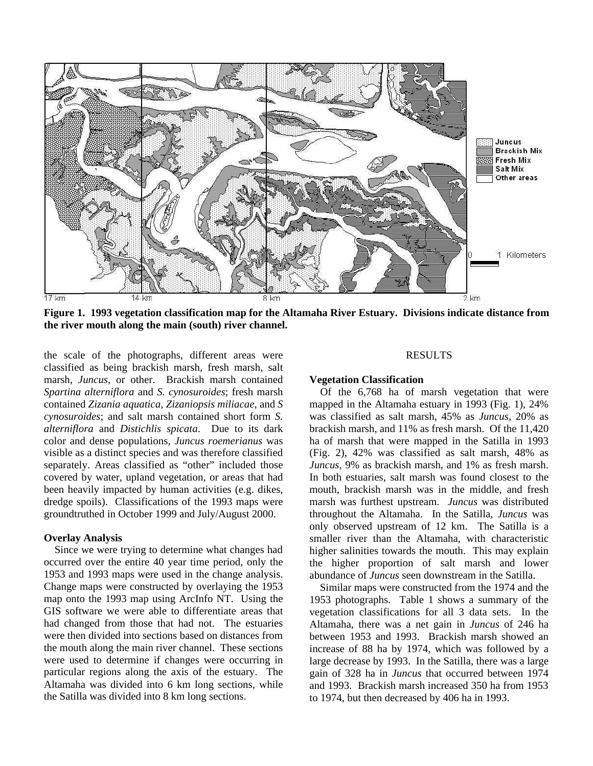

**Figure 1. 1993 vegetation classification map for the Altamaha River Estuary. Divisions indicate distance from the river mouth along the main (south) river channel.**

the scale of the photographs, different areas were classified as being brackish marsh, fresh marsh, salt marsh, *Juncus*, or other. Brackish marsh contained *Spartina alterniflora* and *S. cynosuroides*; fresh marsh contained *Zizania aquatica, Zizaniopsis miliacae*, and *S cynosuroides*; and salt marsh contained short form *S. alterniflora* and *Distichlis spicata*. Due to its dark color and dense populations, *Juncus roemerianus* was visible as a distinct species and was therefore classified separately. Areas classified as "other" included those covered by water, upland vegetation, or areas that had been heavily impacted by human activities (e.g. dikes, dredge spoils). Classifications of the 1993 maps were groundtruthed in October 1999 and July/August 2000.

#### **Overlay Analysis**

Since we were trying to determine what changes had occurred over the entire 40 year time period, only the 1953 and 1993 maps were used in the change analysis. Change maps were constructed by overlaying the 1953 map onto the 1993 map using ArcInfo NT. Using the GIS software we were able to differentiate areas that had changed from those that had not. The estuaries were then divided into sections based on distances from the mouth along the main river channel. These sections were used to determine if changes were occurring in particular regions along the axis of the estuary. The Altamaha was divided into 6 km long sections, while the Satilla was divided into 8 km long sections.

#### RESULTS

#### **Vegetation Classification**

Of the 6,768 ha of marsh vegetation that were mapped in the Altamaha estuary in 1993 (Fig. 1), 24% was classified as salt marsh, 45% as *Juncus*, 20% as brackish marsh, and 11% as fresh marsh. Of the 11,420 ha of marsh that were mapped in the Satilla in 1993 (Fig. 2), 42% was classified as salt marsh, 48% as *Juncus*, 9% as brackish marsh, and 1% as fresh marsh. In both estuaries, salt marsh was found closest to the mouth, brackish marsh was in the middle, and fresh marsh was furthest upstream. *Juncus* was distributed throughout the Altamaha. In the Satilla, *Juncus* was only observed upstream of 12 km. The Satilla is a smaller river than the Altamaha, with characteristic higher salinities towards the mouth. This may explain the higher proportion of salt marsh and lower abundance of *Juncus* seen downstream in the Satilla.

 Similar maps were constructed from the 1974 and the 1953 photographs. Table 1 shows a summary of the vegetation classifications for all 3 data sets. In the Altamaha, there was a net gain in *Juncus* of 246 ha between 1953 and 1993. Brackish marsh showed an increase of 88 ha by 1974, which was followed by a large decrease by 1993. In the Satilla, there was a large gain of 328 ha in *Juncus* that occurred between 1974 and 1993. Brackish marsh increased 350 ha from 1953 to 1974, but then decreased by 406 ha in 1993.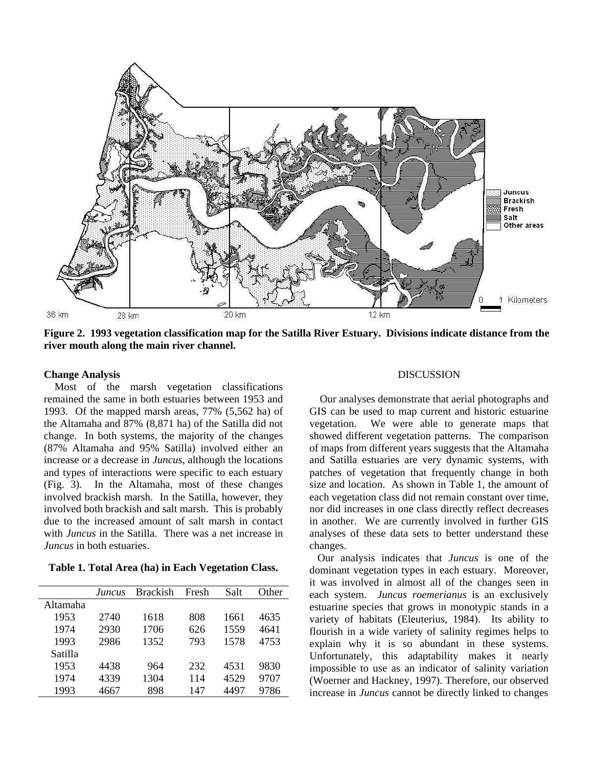

**Figure 2. 1993 vegetation classification map for the Satilla River Estuary. Divisions indicate distance from the river mouth along the main river channel.**

### **Change Analysis**

Most of the marsh vegetation classifications remained the same in both estuaries between 1953 and 1993. Of the mapped marsh areas, 77% (5,562 ha) of the Altamaha and 87% (8,871 ha) of the Satilla did not change. In both systems, the majority of the changes (87% Altamaha and 95% Satilla) involved either an increase or a decrease in *Juncus*, although the locations and types of interactions were specific to each estuary (Fig. 3)*.* In the Altamaha, most of these changes involved brackish marsh. In the Satilla, however, they involved both brackish and salt marsh. This is probably due to the increased amount of salt marsh in contact with *Juncus* in the Satilla. There was a net increase in *Juncus* in both estuaries.

**Table 1. Total Area (ha) in Each Vegetation Class.**

|          | Juncus | <b>Brackish</b> | Fresh | Salt | Other |
|----------|--------|-----------------|-------|------|-------|
| Altamaha |        |                 |       |      |       |
| 1953     | 2740   | 1618            | 808   | 1661 | 4635  |
| 1974     | 2930   | 1706            | 626   | 1559 | 4641  |
| 1993     | 2986   | 1352            | 793   | 1578 | 4753  |
| Satilla  |        |                 |       |      |       |
| 1953     | 4438   | 964             | 232   | 4531 | 9830  |
| 1974     | 4339   | 1304            | 114   | 4529 | 9707  |
| 1993     | 4667   | 898             | 147   | 4497 | 9786  |
|          |        |                 |       |      |       |

#### DISCUSSION

 Our analyses demonstrate that aerial photographs and GIS can be used to map current and historic estuarine vegetation. We were able to generate maps that showed different vegetation patterns. The comparison of maps from different years suggests that the Altamaha and Satilla estuaries are very dynamic systems, with patches of vegetation that frequently change in both size and location. As shown in Table 1, the amount of each vegetation class did not remain constant over time, nor did increases in one class directly reflect decreases in another. We are currently involved in further GIS analyses of these data sets to better understand these changes.

 Our analysis indicates that *Juncus* is one of the dominant vegetation types in each estuary. Moreover, it was involved in almost all of the changes seen in each system. *Juncus roemerianus* is an exclusively estuarine species that grows in monotypic stands in a variety of habitats (Eleuterius, 1984). Its ability to flourish in a wide variety of salinity regimes helps to explain why it is so abundant in these systems. Unfortunately, this adaptability makes it nearly impossible to use as an indicator of salinity variation (Woerner and Hackney, 1997). Therefore, our observed increase in *Juncus* cannot be directly linked to changes